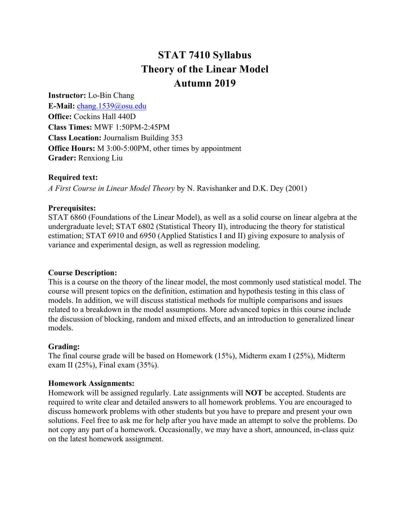# **STAT 7410 Syllabus Theory of the Linear Model Autumn 2019**

**Instructor:** Lo-Bin Chang

**E-Mail:** chang.1539@osu.edu **Office:** Cockins Hall 440D **Class Times:** MWF 1:50PM-2:45PM **Class Location:** Journalism Building 353 **Office Hours:** M 3:00-5:00PM, other times by appointment **Grader:** Renxiong Liu

## **Required text:**

*A First Course in Linear Model Theory* by N. Ravishanker and D.K. Dey (2001)

## **Prerequisites:**

STAT 6860 (Foundations of the Linear Model), as well as a solid course on linear algebra at the undergraduate level; STAT 6802 (Statistical Theory II), introducing the theory for statistical estimation; STAT 6910 and 6950 (Applied Statistics I and II) giving exposure to analysis of variance and experimental design, as well as regression modeling.

# **Course Description:**

This is a course on the theory of the linear model, the most commonly used statistical model. The course will present topics on the definition, estimation and hypothesis testing in this class of models. In addition, we will discuss statistical methods for multiple comparisons and issues related to a breakdown in the model assumptions. More advanced topics in this course include the discussion of blocking, random and mixed effects, and an introduction to generalized linear models.

# **Grading:**

The final course grade will be based on Homework (15%), Midterm exam I (25%), Midterm exam II (25%), Final exam (35%).

#### **Homework Assignments:**

Homework will be assigned regularly. Late assignments will **NOT** be accepted. Students are required to write clear and detailed answers to all homework problems. You are encouraged to discuss homework problems with other students but you have to prepare and present your own solutions. Feel free to ask me for help after you have made an attempt to solve the problems. Do not copy any part of a homework. Occasionally, we may have a short, announced, in-class quiz on the latest homework assignment.